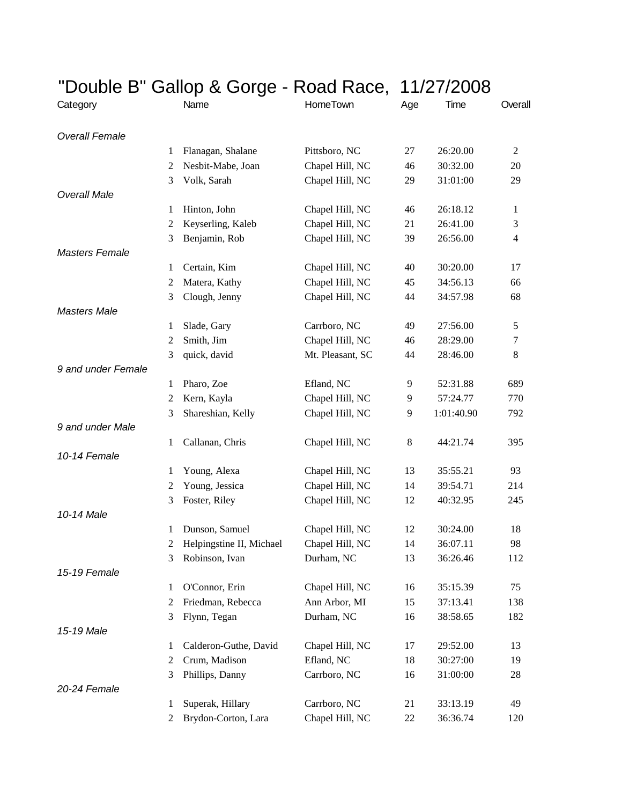|                       |                |                          | "Double B" Gallop & Gorge - Road Race, 11/27/2008 |     |            |                  |
|-----------------------|----------------|--------------------------|---------------------------------------------------|-----|------------|------------------|
| Category              |                | Name                     | HomeTown                                          | Age | Time       | Overall          |
| <b>Overall Female</b> |                |                          |                                                   |     |            |                  |
|                       | 1              | Flanagan, Shalane        | Pittsboro, NC                                     | 27  | 26:20.00   | $\mathfrak{2}$   |
|                       | $\overline{c}$ | Nesbit-Mabe, Joan        | Chapel Hill, NC                                   | 46  | 30:32.00   | 20               |
|                       | 3              | Volk, Sarah              | Chapel Hill, NC                                   | 29  | 31:01:00   | 29               |
| <b>Overall Male</b>   |                |                          |                                                   |     |            |                  |
|                       | 1              | Hinton, John             | Chapel Hill, NC                                   | 46  | 26:18.12   | 1                |
|                       | $\overline{c}$ | Keyserling, Kaleb        | Chapel Hill, NC                                   | 21  | 26:41.00   | $\mathfrak{Z}$   |
|                       | 3              | Benjamin, Rob            | Chapel Hill, NC                                   | 39  | 26:56.00   | $\overline{4}$   |
| <b>Masters Female</b> |                |                          |                                                   |     |            |                  |
|                       | 1              | Certain, Kim             | Chapel Hill, NC                                   | 40  | 30:20.00   | 17               |
|                       | $\overline{c}$ | Matera, Kathy            | Chapel Hill, NC                                   | 45  | 34:56.13   | 66               |
|                       | 3              | Clough, Jenny            | Chapel Hill, NC                                   | 44  | 34:57.98   | 68               |
| <b>Masters Male</b>   |                |                          |                                                   |     |            |                  |
|                       | 1              | Slade, Gary              | Carrboro, NC                                      | 49  | 27:56.00   | 5                |
|                       | $\sqrt{2}$     | Smith, Jim               | Chapel Hill, NC                                   | 46  | 28:29.00   | $\boldsymbol{7}$ |
|                       | 3              | quick, david             | Mt. Pleasant, SC                                  | 44  | 28:46.00   | 8                |
| 9 and under Female    |                |                          |                                                   |     |            |                  |
|                       | 1              | Pharo, Zoe               | Efland, NC                                        | 9   | 52:31.88   | 689              |
|                       | $\mathfrak{2}$ | Kern, Kayla              | Chapel Hill, NC                                   | 9   | 57:24.77   | 770              |
|                       | 3              | Shareshian, Kelly        | Chapel Hill, NC                                   | 9   | 1:01:40.90 | 792              |
| 9 and under Male      |                |                          |                                                   |     |            |                  |
|                       | 1              | Callanan, Chris          | Chapel Hill, NC                                   | 8   | 44:21.74   | 395              |
| 10-14 Female          |                |                          |                                                   |     |            |                  |
|                       | 1              | Young, Alexa             | Chapel Hill, NC                                   | 13  | 35:55.21   | 93               |
|                       | $\overline{c}$ | Young, Jessica           | Chapel Hill, NC                                   | 14  | 39:54.71   | 214              |
|                       | 3              | Foster, Riley            | Chapel Hill, NC                                   | 12  | 40:32.95   | 245              |
| 10-14 Male            |                |                          |                                                   |     |            |                  |
|                       |                | 1 Dunson, Samuel         | Chapel Hill, NC                                   | 12  | 30:24.00   | 18               |
|                       | 2              | Helpingstine II, Michael | Chapel Hill, NC                                   | 14  | 36:07.11   | 98               |
|                       | 3              | Robinson, Ivan           | Durham, NC                                        | 13  | 36:26.46   | 112              |
| 15-19 Female          |                |                          |                                                   |     |            |                  |
|                       | 1              | O'Connor, Erin           | Chapel Hill, NC                                   | 16  | 35:15.39   | 75               |
|                       | $\overline{c}$ | Friedman, Rebecca        | Ann Arbor, MI                                     | 15  | 37:13.41   | 138              |
|                       | 3              | Flynn, Tegan             | Durham, NC                                        | 16  | 38:58.65   | 182              |
| 15-19 Male            |                |                          |                                                   |     |            |                  |
|                       | 1              | Calderon-Guthe, David    | Chapel Hill, NC                                   | 17  | 29:52.00   | 13               |
|                       | 2              | Crum, Madison            | Efland, NC                                        | 18  | 30:27:00   | 19               |
|                       | 3              | Phillips, Danny          | Carrboro, NC                                      | 16  | 31:00:00   | 28               |
| 20-24 Female          |                |                          |                                                   |     |            |                  |
|                       | 1              | Superak, Hillary         | Carrboro, NC                                      | 21  | 33:13.19   | 49               |
|                       | 2              | Brydon-Corton, Lara      | Chapel Hill, NC                                   | 22  | 36:36.74   | 120              |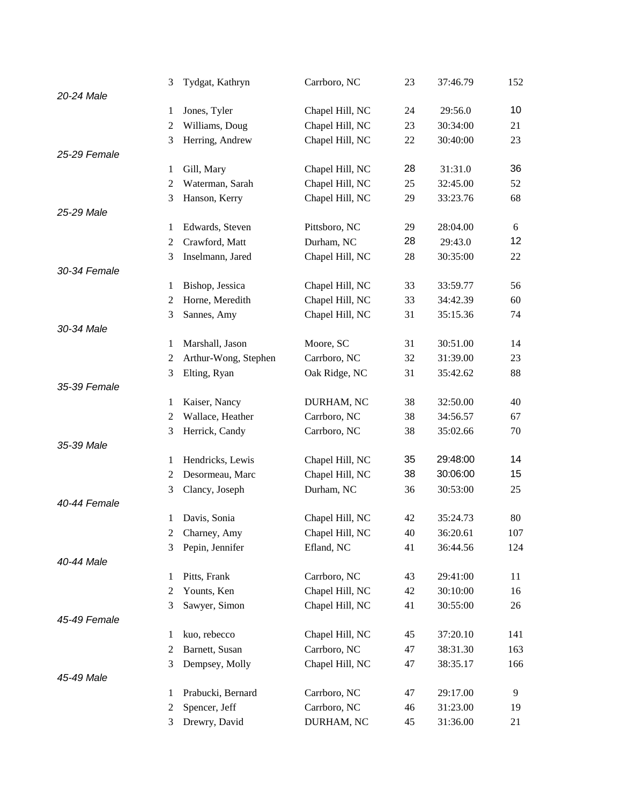|              | 3              | Tydgat, Kathryn      | Carrboro, NC    | 23 | 37:46.79 | 152 |
|--------------|----------------|----------------------|-----------------|----|----------|-----|
| 20-24 Male   |                |                      |                 |    |          |     |
|              | 1              | Jones, Tyler         | Chapel Hill, NC | 24 | 29:56.0  | 10  |
|              | $\overline{c}$ | Williams, Doug       | Chapel Hill, NC | 23 | 30:34:00 | 21  |
|              | 3              | Herring, Andrew      | Chapel Hill, NC | 22 | 30:40:00 | 23  |
| 25-29 Female |                |                      |                 |    |          |     |
|              | 1              | Gill, Mary           | Chapel Hill, NC | 28 | 31:31.0  | 36  |
|              | $\mathfrak{2}$ | Waterman, Sarah      | Chapel Hill, NC | 25 | 32:45.00 | 52  |
|              | 3              | Hanson, Kerry        | Chapel Hill, NC | 29 | 33:23.76 | 68  |
| 25-29 Male   |                |                      |                 |    |          |     |
|              | 1              | Edwards, Steven      | Pittsboro, NC   | 29 | 28:04.00 | 6   |
|              | $\overline{c}$ | Crawford, Matt       | Durham, NC      | 28 | 29:43.0  | 12  |
|              | 3              | Inselmann, Jared     | Chapel Hill, NC | 28 | 30:35:00 | 22  |
| 30-34 Female |                |                      |                 |    |          |     |
|              | 1              | Bishop, Jessica      | Chapel Hill, NC | 33 | 33:59.77 | 56  |
|              | $\overline{c}$ | Horne, Meredith      | Chapel Hill, NC | 33 | 34:42.39 | 60  |
|              | 3              | Sannes, Amy          | Chapel Hill, NC | 31 | 35:15.36 | 74  |
| 30-34 Male   |                |                      |                 |    |          |     |
|              | 1              | Marshall, Jason      | Moore, SC       | 31 | 30:51.00 | 14  |
|              | 2              | Arthur-Wong, Stephen | Carrboro, NC    | 32 | 31:39.00 | 23  |
|              | 3              | Elting, Ryan         | Oak Ridge, NC   | 31 | 35:42.62 | 88  |
| 35-39 Female |                |                      |                 |    |          |     |
|              | 1              | Kaiser, Nancy        | DURHAM, NC      | 38 | 32:50.00 | 40  |
|              | $\mathfrak{2}$ | Wallace, Heather     | Carrboro, NC    | 38 | 34:56.57 | 67  |
|              | 3              | Herrick, Candy       | Carrboro, NC    | 38 | 35:02.66 | 70  |
| 35-39 Male   |                |                      |                 |    |          |     |
|              | 1              | Hendricks, Lewis     | Chapel Hill, NC | 35 | 29:48:00 | 14  |
|              | 2              | Desormeau, Marc      | Chapel Hill, NC | 38 | 30:06:00 | 15  |
|              | 3              | Clancy, Joseph       | Durham, NC      | 36 | 30:53:00 | 25  |
| 40-44 Female |                |                      |                 |    |          |     |
|              | 1              | Davis, Sonia         | Chapel Hill, NC | 42 | 35:24.73 | 80  |
|              | $\overline{c}$ | Charney, Amy         | Chapel Hill, NC | 40 | 36:20.61 | 107 |
|              | 3              | Pepin, Jennifer      | Efland, NC      | 41 | 36:44.56 | 124 |
| 40-44 Male   |                |                      |                 |    |          |     |
|              | 1              | Pitts, Frank         | Carrboro, NC    | 43 | 29:41:00 | 11  |
|              | 2              | Younts, Ken          | Chapel Hill, NC | 42 | 30:10:00 | 16  |
|              | 3              | Sawyer, Simon        | Chapel Hill, NC | 41 | 30:55:00 | 26  |
| 45-49 Female |                |                      |                 |    |          |     |
|              | 1              | kuo, rebecco         | Chapel Hill, NC | 45 | 37:20.10 | 141 |
|              | $\overline{c}$ | Barnett, Susan       | Carrboro, NC    | 47 | 38:31.30 | 163 |
|              | 3              | Dempsey, Molly       | Chapel Hill, NC | 47 | 38:35.17 | 166 |
| 45-49 Male   |                |                      |                 |    |          |     |
|              | 1              | Prabucki, Bernard    | Carrboro, NC    | 47 | 29:17.00 | 9   |
|              | $\overline{c}$ | Spencer, Jeff        | Carrboro, NC    | 46 | 31:23.00 | 19  |
|              | 3              | Drewry, David        | DURHAM, NC      | 45 | 31:36.00 | 21  |